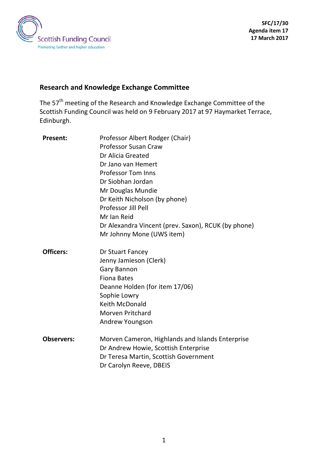

# **Research and Knowledge Exchange Committee**

The 57<sup>th</sup> meeting of the Research and Knowledge Exchange Committee of the Scottish Funding Council was held on 9 February 2017 at 97 Haymarket Terrace, Edinburgh.

| <b>Present:</b>   | Professor Albert Rodger (Chair)                     |
|-------------------|-----------------------------------------------------|
|                   | <b>Professor Susan Craw</b>                         |
|                   | Dr Alicia Greated                                   |
|                   | Dr Jano van Hemert                                  |
|                   | <b>Professor Tom Inns</b>                           |
|                   | Dr Siobhan Jordan                                   |
|                   | Mr Douglas Mundie                                   |
|                   | Dr Keith Nicholson (by phone)                       |
|                   | Professor Jill Pell                                 |
|                   | Mr Ian Reid                                         |
|                   | Dr Alexandra Vincent (prev. Saxon), RCUK (by phone) |
|                   | Mr Johnny Mone (UWS item)                           |
| <b>Officers:</b>  | Dr Stuart Fancey                                    |
|                   | Jenny Jamieson (Clerk)                              |
|                   | <b>Gary Bannon</b>                                  |
|                   | <b>Fiona Bates</b>                                  |
|                   | Deanne Holden (for item 17/06)                      |
|                   | Sophie Lowry                                        |
|                   | <b>Keith McDonald</b>                               |
|                   | <b>Morven Pritchard</b>                             |
|                   | Andrew Youngson                                     |
| <b>Observers:</b> | Morven Cameron, Highlands and Islands Enterprise    |
|                   | Dr Andrew Howie, Scottish Enterprise                |
|                   | Dr Teresa Martin, Scottish Government               |
|                   | Dr Carolyn Reeve, DBEIS                             |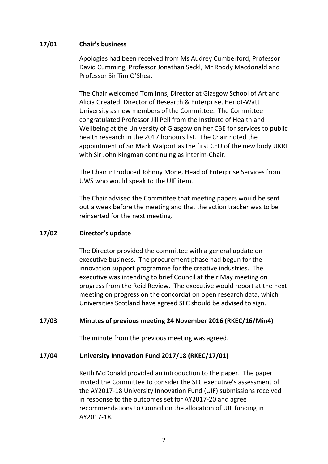### **17/01 Chair's business**

Apologies had been received from Ms Audrey Cumberford, Professor David Cumming, Professor Jonathan Seckl, Mr Roddy Macdonald and Professor Sir Tim O'Shea.

The Chair welcomed Tom Inns, Director at Glasgow School of Art and Alicia Greated, Director of Research & Enterprise, Heriot-Watt University as new members of the Committee. The Committee congratulated Professor Jill Pell from the Institute of Health and Wellbeing at the University of Glasgow on her CBE for services to public health research in the 2017 honours list. The Chair noted the appointment of Sir Mark Walport as the first CEO of the new body UKRI with Sir John Kingman continuing as interim-Chair.

The Chair introduced Johnny Mone, Head of Enterprise Services from UWS who would speak to the UIF item.

The Chair advised the Committee that meeting papers would be sent out a week before the meeting and that the action tracker was to be reinserted for the next meeting.

#### **17/02 Director's update**

The Director provided the committee with a general update on executive business. The procurement phase had begun for the innovation support programme for the creative industries. The executive was intending to brief Council at their May meeting on progress from the Reid Review. The executive would report at the next meeting on progress on the concordat on open research data, which Universities Scotland have agreed SFC should be advised to sign.

#### **17/03 Minutes of previous meeting 24 November 2016 (RKEC/16/Min4)**

The minute from the previous meeting was agreed.

#### **17/04 University Innovation Fund 2017/18 (RKEC/17/01)**

Keith McDonald provided an introduction to the paper. The paper invited the Committee to consider the SFC executive's assessment of the AY2017-18 University Innovation Fund (UIF) submissions received in response to the outcomes set for AY2017-20 and agree recommendations to Council on the allocation of UIF funding in AY2017-18.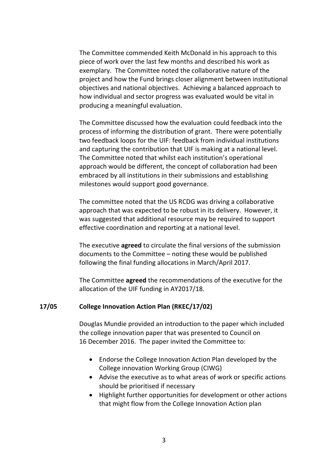The Committee commended Keith McDonald in his approach to this piece of work over the last few months and described his work as exemplary. The Committee noted the collaborative nature of the project and how the Fund brings closer alignment between institutional objectives and national objectives. Achieving a balanced approach to how individual and sector progress was evaluated would be vital in producing a meaningful evaluation.

The Committee discussed how the evaluation could feedback into the process of informing the distribution of grant. There were potentially two feedback loops for the UIF: feedback from individual institutions and capturing the contribution that UIF is making at a national level. The Committee noted that whilst each institution's operational approach would be different, the concept of collaboration had been embraced by all institutions in their submissions and establishing milestones would support good governance.

The committee noted that the US RCDG was driving a collaborative approach that was expected to be robust in its delivery. However, it was suggested that additional resource may be required to support effective coordination and reporting at a national level.

The executive **agreed** to circulate the final versions of the submission documents to the Committee – noting these would be published following the final funding allocations in March/April 2017.

The Committee **agreed** the recommendations of the executive for the allocation of the UIF funding in AY2017/18.

#### **17/05 College Innovation Action Plan (RKEC/17/02)**

Douglas Mundie provided an introduction to the paper which included the college innovation paper that was presented to Council on 16 December 2016. The paper invited the Committee to:

- Endorse the College Innovation Action Plan developed by the College innovation Working Group (CIWG)
- Advise the executive as to what areas of work or specific actions should be prioritised if necessary
- Highlight further opportunities for development or other actions that might flow from the College Innovation Action plan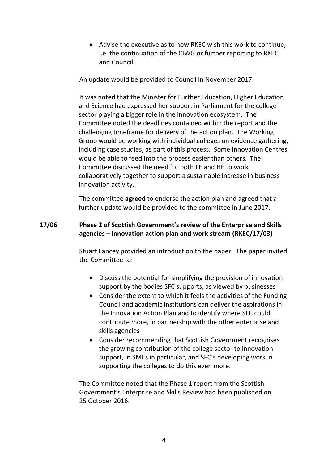• Advise the executive as to how RKEC wish this work to continue, i.e. the continuation of the CIWG or further reporting to RKEC and Council.

An update would be provided to Council in November 2017.

It was noted that the Minister for Further Education, Higher Education and Science had expressed her support in Parliament for the college sector playing a bigger role in the innovation ecosystem. The Committee noted the deadlines contained within the report and the challenging timeframe for delivery of the action plan. The Working Group would be working with individual colleges on evidence gathering, including case studies, as part of this process. Some Innovation Centres would be able to feed into the process easier than others. The Committee discussed the need for both FE and HE to work collaboratively together to support a sustainable increase in business innovation activity.

The committee **agreed** to endorse the action plan and agreed that a further update would be provided to the committee in June 2017.

# **17/06 Phase 2 of Scottish Government's review of the Enterprise and Skills agencies – innovation action plan and work stream (RKEC/17/03)**

Stuart Fancey provided an introduction to the paper. The paper invited the Committee to:

- Discuss the potential for simplifying the provision of innovation support by the bodies SFC supports, as viewed by businesses
- Consider the extent to which it feels the activities of the Funding Council and academic institutions can deliver the aspirations in the Innovation Action Plan and to identify where SFC could contribute more, in partnership with the other enterprise and skills agencies
- Consider recommending that Scottish Government recognises the growing contribution of the college sector to innovation support, in SMEs in particular, and SFC's developing work in supporting the colleges to do this even more.

The Committee noted that the Phase 1 report from the Scottish Government's Enterprise and Skills Review had been published on 25 October 2016.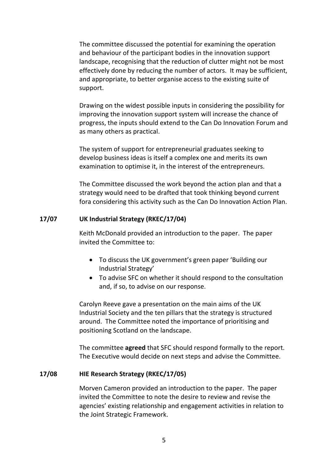The committee discussed the potential for examining the operation and behaviour of the participant bodies in the innovation support landscape, recognising that the reduction of clutter might not be most effectively done by reducing the number of actors. It may be sufficient, and appropriate, to better organise access to the existing suite of support.

Drawing on the widest possible inputs in considering the possibility for improving the innovation support system will increase the chance of progress, the inputs should extend to the Can Do Innovation Forum and as many others as practical.

The system of support for entrepreneurial graduates seeking to develop business ideas is itself a complex one and merits its own examination to optimise it, in the interest of the entrepreneurs.

The Committee discussed the work beyond the action plan and that a strategy would need to be drafted that took thinking beyond current fora considering this activity such as the Can Do Innovation Action Plan.

### **17/07 UK Industrial Strategy (RKEC/17/04)**

Keith McDonald provided an introduction to the paper. The paper invited the Committee to:

- To discuss the UK government's green paper 'Building our Industrial Strategy'
- To advise SFC on whether it should respond to the consultation and, if so, to advise on our response.

Carolyn Reeve gave a presentation on the main aims of the UK Industrial Society and the ten pillars that the strategy is structured around. The Committee noted the importance of prioritising and positioning Scotland on the landscape.

The committee **agreed** that SFC should respond formally to the report. The Executive would decide on next steps and advise the Committee.

# **17/08 HIE Research Strategy (RKEC/17/05)**

Morven Cameron provided an introduction to the paper. The paper invited the Committee to note the desire to review and revise the agencies' existing relationship and engagement activities in relation to the Joint Strategic Framework.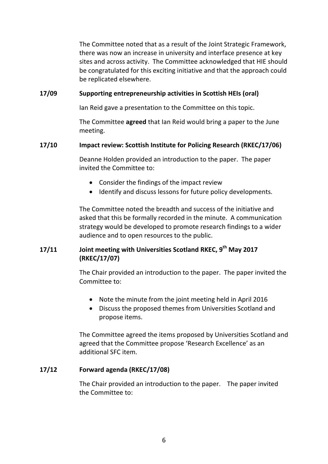The Committee noted that as a result of the Joint Strategic Framework, there was now an increase in university and interface presence at key sites and across activity. The Committee acknowledged that HIE should be congratulated for this exciting initiative and that the approach could be replicated elsewhere.

## **17/09 Supporting entrepreneurship activities in Scottish HEIs (oral)**

Ian Reid gave a presentation to the Committee on this topic.

The Committee **agreed** that Ian Reid would bring a paper to the June meeting.

### **17/10 Impact review: Scottish Institute for Policing Research (RKEC/17/06)**

Deanne Holden provided an introduction to the paper. The paper invited the Committee to:

- Consider the findings of the impact review
- Identify and discuss lessons for future policy developments.

The Committee noted the breadth and success of the initiative and asked that this be formally recorded in the minute. A communication strategy would be developed to promote research findings to a wider audience and to open resources to the public.

# **17/11 Joint meeting with Universities Scotland RKEC, 9th May 2017 (RKEC/17/07)**

The Chair provided an introduction to the paper. The paper invited the Committee to:

- Note the minute from the joint meeting held in April 2016
- Discuss the proposed themes from Universities Scotland and propose items.

The Committee agreed the items proposed by Universities Scotland and agreed that the Committee propose 'Research Excellence' as an additional SFC item.

# **17/12 Forward agenda (RKEC/17/08)**

The Chair provided an introduction to the paper. The paper invited the Committee to: